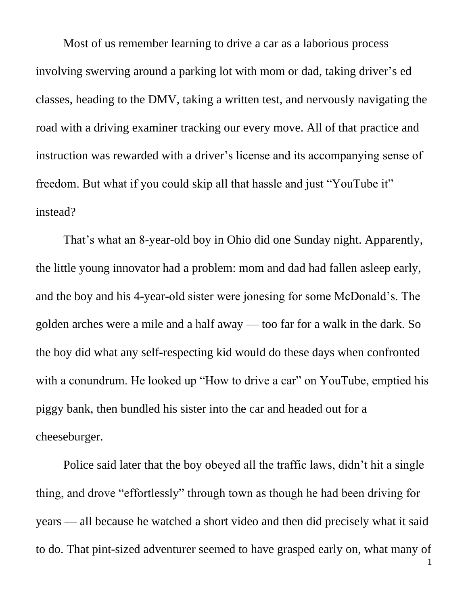Most of us remember learning to drive a car as a laborious process involving swerving around a parking lot with mom or dad, taking driver's ed classes, heading to the DMV, taking a written test, and nervously navigating the road with a driving examiner tracking our every move. All of that practice and instruction was rewarded with a driver's license and its accompanying sense of freedom. But what if you could skip all that hassle and just "YouTube it" instead?

That's what an 8-year-old boy in Ohio did one Sunday night. Apparently, the little young innovator had a problem: mom and dad had fallen asleep early, and the boy and his 4-year-old sister were jonesing for some McDonald's. The golden arches were a mile and a half away — too far for a walk in the dark. So the boy did what any self-respecting kid would do these days when confronted with a conundrum. He looked up "How to drive a car" on YouTube, emptied his piggy bank, then bundled his sister into the car and headed out for a cheeseburger.

Police said later that the boy obeyed all the traffic laws, didn't hit a single thing, and drove "effortlessly" through town as though he had been driving for years — all because he watched a short video and then did precisely what it said to do. That pint-sized adventurer seemed to have grasped early on, what many of

1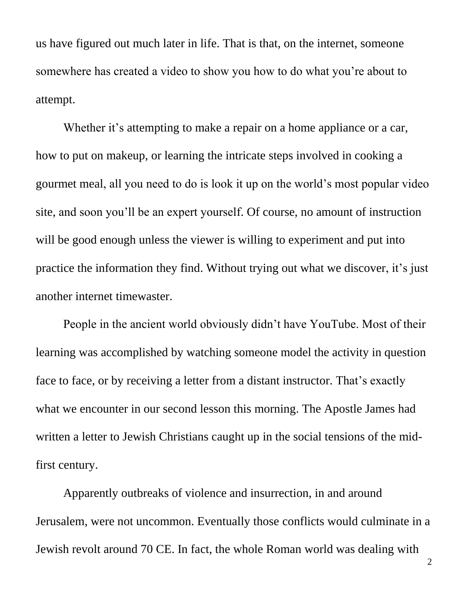us have figured out much later in life. That is that, on the internet, someone somewhere has created a video to show you how to do what you're about to attempt.

Whether it's attempting to make a repair on a home appliance or a car, how to put on makeup, or learning the intricate steps involved in cooking a gourmet meal, all you need to do is look it up on the world's most popular video site, and soon you'll be an expert yourself. Of course, no amount of instruction will be good enough unless the viewer is willing to experiment and put into practice the information they find. Without trying out what we discover, it's just another internet timewaster.

People in the ancient world obviously didn't have YouTube. Most of their learning was accomplished by watching someone model the activity in question face to face, or by receiving a letter from a distant instructor. That's exactly what we encounter in our second lesson this morning. The Apostle James had written a letter to Jewish Christians caught up in the social tensions of the midfirst century.

Apparently outbreaks of violence and insurrection, in and around Jerusalem, were not uncommon. Eventually those conflicts would culminate in a Jewish revolt around 70 CE. In fact, the whole Roman world was dealing with

2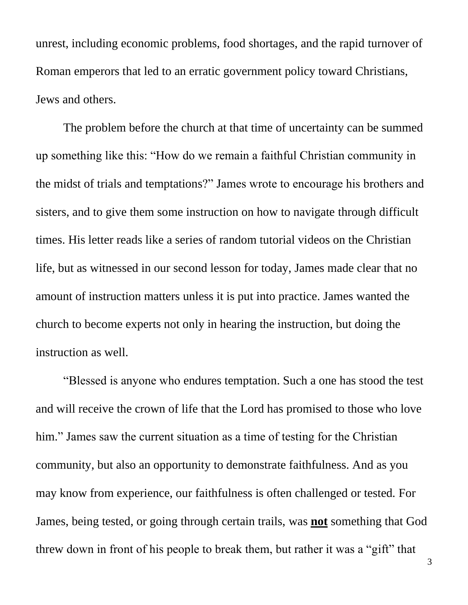unrest, including economic problems, food shortages, and the rapid turnover of Roman emperors that led to an erratic government policy toward Christians, Jews and others.

The problem before the church at that time of uncertainty can be summed up something like this: "How do we remain a faithful Christian community in the midst of trials and temptations?" James wrote to encourage his brothers and sisters, and to give them some instruction on how to navigate through difficult times. His letter reads like a series of random tutorial videos on the Christian life, but as witnessed in our second lesson for today, James made clear that no amount of instruction matters unless it is put into practice. James wanted the church to become experts not only in hearing the instruction, but doing the instruction as well.

"Blessed is anyone who endures temptation. Such a one has stood the test and will receive the crown of life that the Lord has promised to those who love him." James saw the current situation as a time of testing for the Christian community, but also an opportunity to demonstrate faithfulness. And as you may know from experience, our faithfulness is often challenged or tested*.* For James, being tested, or going through certain trails, was **not** something that God threw down in front of his people to break them, but rather it was a "gift" that

3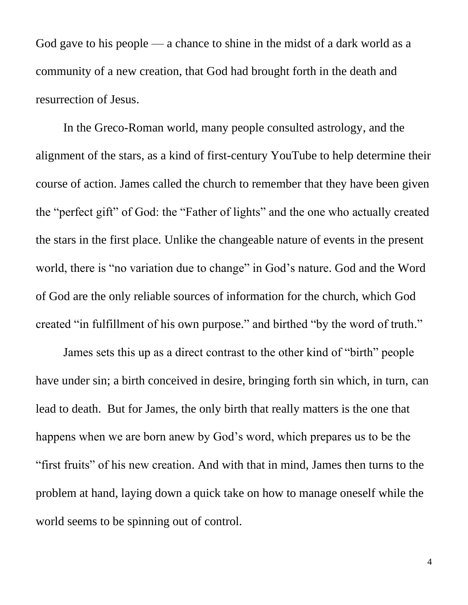God gave to his people — a chance to shine in the midst of a dark world as a community of a new creation, that God had brought forth in the death and resurrection of Jesus.

In the Greco-Roman world, many people consulted astrology, and the alignment of the stars, as a kind of first-century YouTube to help determine their course of action. James called the church to remember that they have been given the "perfect gift" of God: the "Father of lights" and the one who actually created the stars in the first place. Unlike the changeable nature of events in the present world, there is "no variation due to change" in God's nature. God and the Word of God are the only reliable sources of information for the church, which God created "in fulfillment of his own purpose." and birthed "by the word of truth."

James sets this up as a direct contrast to the other kind of "birth" people have under sin; a birth conceived in desire, bringing forth sin which, in turn, can lead to death. But for James, the only birth that really matters is the one that happens when we are born anew by God's word, which prepares us to be the "first fruits" of his new creation. And with that in mind, James then turns to the problem at hand, laying down a quick take on how to manage oneself while the world seems to be spinning out of control.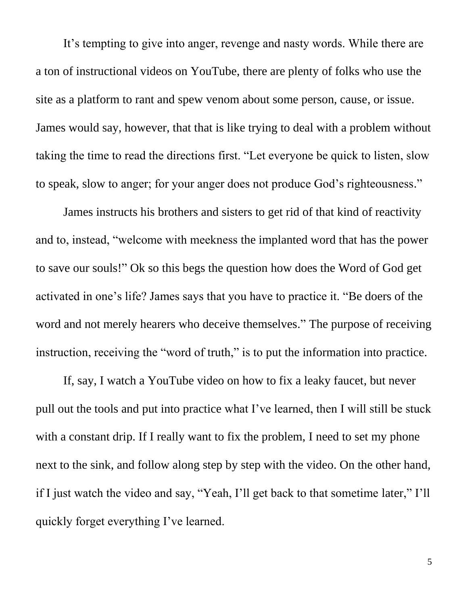It's tempting to give into anger, revenge and nasty words. While there are a ton of instructional videos on YouTube, there are plenty of folks who use the site as a platform to rant and spew venom about some person, cause, or issue. James would say, however, that that is like trying to deal with a problem without taking the time to read the directions first. "Let everyone be quick to listen, slow to speak, slow to anger; for your anger does not produce God's righteousness."

James instructs his brothers and sisters to get rid of that kind of reactivity and to, instead, "welcome with meekness the implanted word that has the power to save our souls!" Ok so this begs the question how does the Word of God get activated in one's life? James says that you have to practice it. "Be doers of the word and not merely hearers who deceive themselves." The purpose of receiving instruction, receiving the "word of truth," is to put the information into practice.

If, say, I watch a YouTube video on how to fix a leaky faucet, but never pull out the tools and put into practice what I've learned, then I will still be stuck with a constant drip. If I really want to fix the problem, I need to set my phone next to the sink, and follow along step by step with the video. On the other hand, if I just watch the video and say, "Yeah, I'll get back to that sometime later," I'll quickly forget everything I've learned.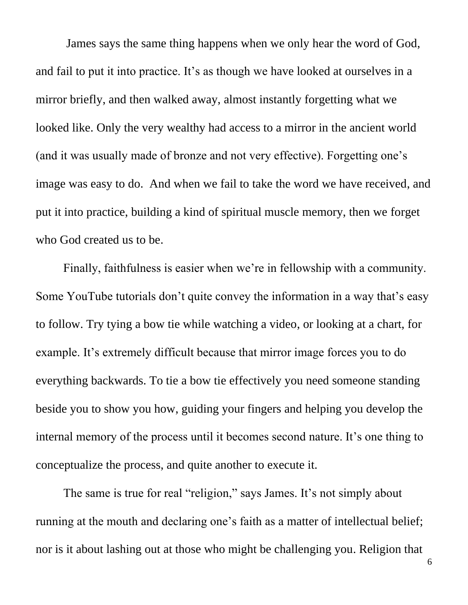James says the same thing happens when we only hear the word of God, and fail to put it into practice. It's as though we have looked at ourselves in a mirror briefly, and then walked away, almost instantly forgetting what we looked like. Only the very wealthy had access to a mirror in the ancient world (and it was usually made of bronze and not very effective). Forgetting one's image was easy to do. And when we fail to take the word we have received, and put it into practice, building a kind of spiritual muscle memory, then we forget who God created us to be.

Finally, faithfulness is easier when we're in fellowship with a community. Some YouTube tutorials don't quite convey the information in a way that's easy to follow. Try tying a bow tie while watching a video, or looking at a chart, for example. It's extremely difficult because that mirror image forces you to do everything backwards. To tie a bow tie effectively you need someone standing beside you to show you how, guiding your fingers and helping you develop the internal memory of the process until it becomes second nature. It's one thing to conceptualize the process, and quite another to execute it.

The same is true for real "religion," says James. It's not simply about running at the mouth and declaring one's faith as a matter of intellectual belief; nor is it about lashing out at those who might be challenging you. Religion that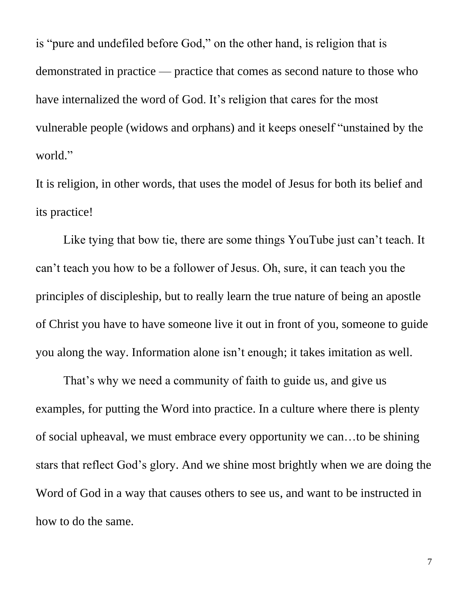is "pure and undefiled before God," on the other hand, is religion that is demonstrated in practice — practice that comes as second nature to those who have internalized the word of God. It's religion that cares for the most vulnerable people (widows and orphans) and it keeps oneself "unstained by the world."

It is religion, in other words, that uses the model of Jesus for both its belief and its practice!

Like tying that bow tie, there are some things YouTube just can't teach. It can't teach you how to be a follower of Jesus. Oh, sure, it can teach you the principle*s* of discipleship, but to really learn the true nature of being an apostle of Christ you have to have someone live it out in front of you, someone to guide you along the way. Information alone isn't enough; it takes imitation as well.

That's why we need a community of faith to guide us, and give us examples, for putting the Word into practice. In a culture where there is plenty of social upheaval, we must embrace every opportunity we can…to be shining stars that reflect God's glory. And we shine most brightly when we are doing the Word of God in a way that causes others to see us, and want to be instructed in how to do the same.